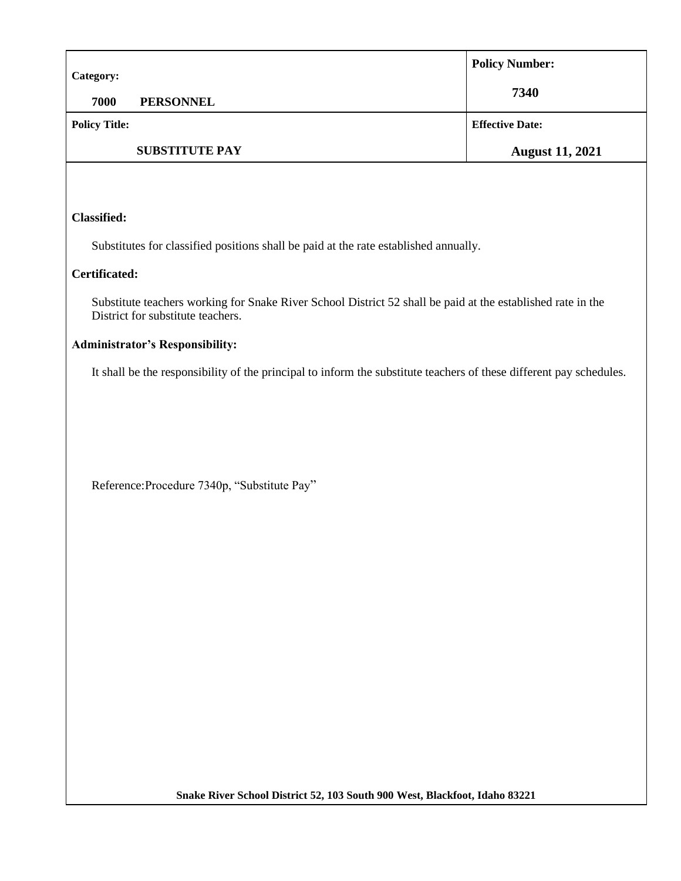| <b>Category:</b>     |                       | <b>Policy Number:</b>  |
|----------------------|-----------------------|------------------------|
| 7000                 | <b>PERSONNEL</b>      | 7340                   |
| <b>Policy Title:</b> |                       | <b>Effective Date:</b> |
|                      | <b>SUBSTITUTE PAY</b> | <b>August 11, 2021</b> |

## **Classified:**

Substitutes for classified positions shall be paid at the rate established annually.

## **Certificated:**

Substitute teachers working for Snake River School District 52 shall be paid at the established rate in the District for substitute teachers.

## **Administrator's Responsibility:**

It shall be the responsibility of the principal to inform the substitute teachers of these different pay schedules.

Reference:Procedure 7340p, "Substitute Pay"

**Snake River School District 52, 103 South 900 West, Blackfoot, Idaho 83221**